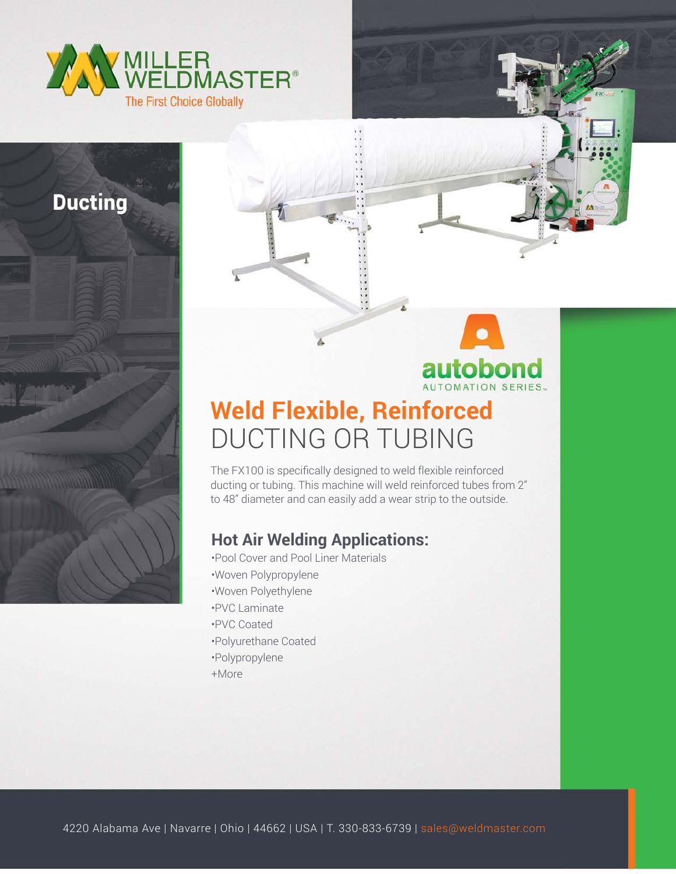

**Ducting** 



## **Weld Flexible, Reinforced** DUCTING OR TUBING

The FX100 is specifically designed to weld flexible reinforced ducting or tubing. This machine will weld reinforced tubes from 2" to 48" diameter and can easily add a wear strip to the outside.

## **Hot Air Welding Applications:**

•Pool Cover and Pool Liner Materials •Woven Polypropylene •Woven Polyethylene •PVC Laminate •PVC Coated •Polyurethane Coated •Polypropylene +More